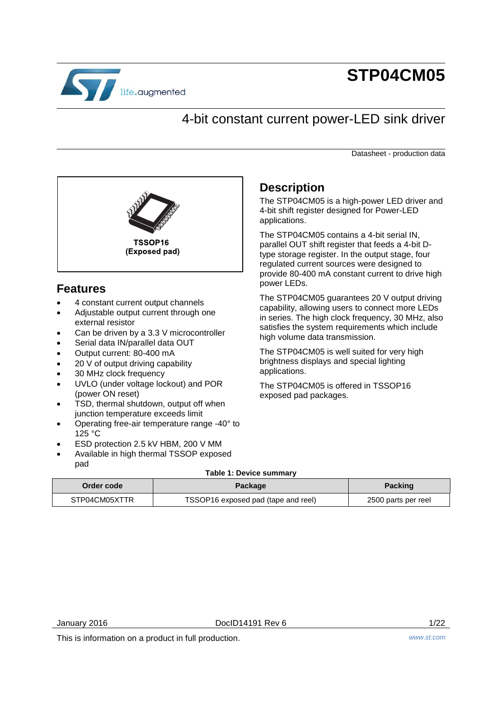

# **STP04CM05**

# 4-bit constant current power-LED sink driver

Datasheet - production data



# **Features**

- 4 constant current output channels
- Adjustable output current through one external resistor
- Can be driven by a 3.3 V microcontroller
- Serial data IN/parallel data OUT
- Output current: 80-400 mA
- 20 V of output driving capability
- 30 MHz clock frequency
- UVLO (under voltage lockout) and POR (power ON reset)
- TSD, thermal shutdown, output off when junction temperature exceeds limit
- Operating free-air temperature range -40° to 125 °C
- ESD protection 2.5 kV HBM, 200 V MM
- Available in high thermal TSSOP exposed pad

# **Description**

The STP04CM05 is a high-power LED driver and 4-bit shift register designed for Power-LED applications.

The STP04CM05 contains a 4-bit serial IN, parallel OUT shift register that feeds a 4-bit Dtype storage register. In the output stage, four regulated current sources were designed to provide 80-400 mA constant current to drive high power LEDs.

The STP04CM05 guarantees 20 V output driving capability, allowing users to connect more LEDs in series. The high clock frequency, 30 MHz, also satisfies the system requirements which include high volume data transmission.

The STP04CM05 is well suited for very high brightness displays and special lighting applications.

The STP04CM05 is offered in TSSOP16 exposed pad packages.

### **Table 1: Device summary**

| Order code    | Package                             | <b>Packing</b>      |
|---------------|-------------------------------------|---------------------|
| STP04CM05XTTR | TSSOP16 exposed pad (tape and reel) | 2500 parts per reel |

This is information on a product in full production. *www.st.com*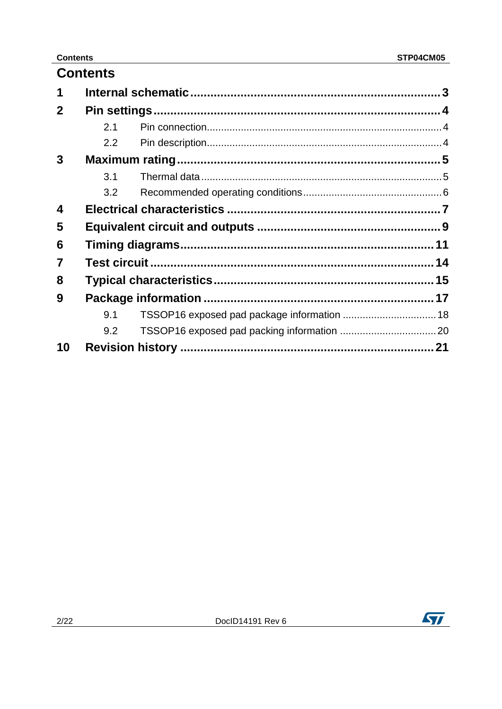### **Contents**

|              | <b>Contents</b> |                                             |  |
|--------------|-----------------|---------------------------------------------|--|
| 1            |                 |                                             |  |
| $\mathbf{2}$ |                 |                                             |  |
|              | 2.1             |                                             |  |
|              | 2.2             |                                             |  |
| 3            |                 |                                             |  |
|              | 3.1             |                                             |  |
|              | 3.2             |                                             |  |
| 4            |                 |                                             |  |
| 5            |                 |                                             |  |
| 6            |                 |                                             |  |
| 7            |                 |                                             |  |
| 8            |                 |                                             |  |
| 9            |                 |                                             |  |
|              | 9.1             | TSSOP16 exposed pad package information  18 |  |
|              | 9.2             |                                             |  |
| 10           |                 |                                             |  |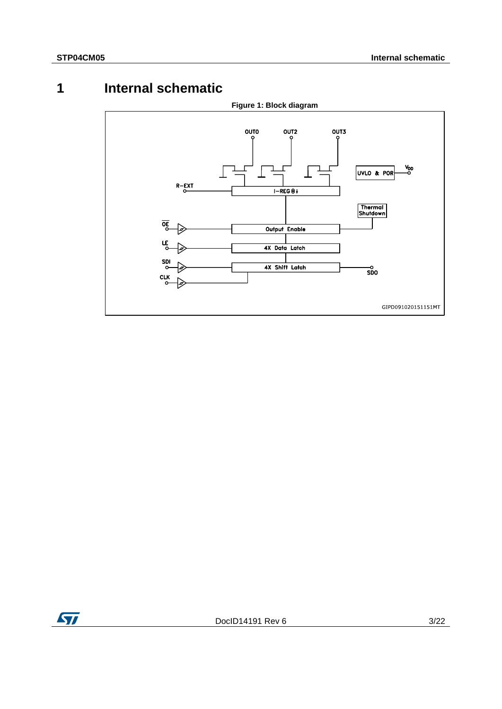# **1 Internal schematic**

<span id="page-2-0"></span>

ST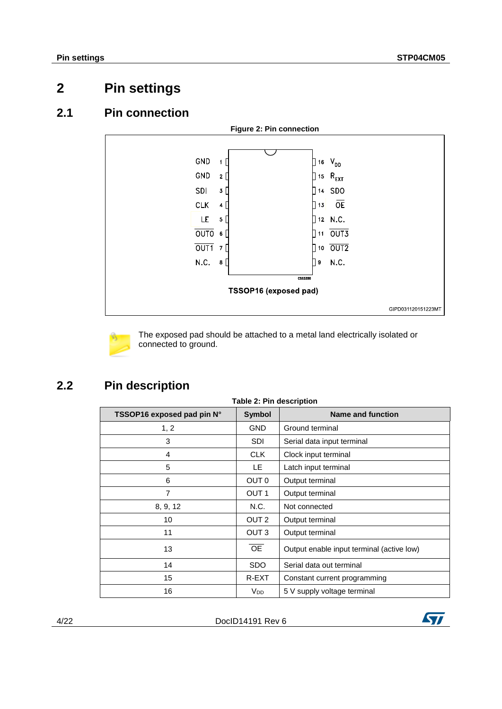# <span id="page-3-0"></span>**2 Pin settings**

## **2.1 Pin connection**

<span id="page-3-1"></span>

The exposed pad should be attached to a metal land electrically isolated or connected to ground.

# **2.2 Pin description**

<span id="page-3-2"></span>

| <b>Table 2: Pin description</b> |                  |                                           |  |  |
|---------------------------------|------------------|-------------------------------------------|--|--|
| TSSOP16 exposed pad pin N°      | <b>Symbol</b>    | <b>Name and function</b>                  |  |  |
| 1, 2                            | <b>GND</b>       | Ground terminal                           |  |  |
| 3                               | <b>SDI</b>       | Serial data input terminal                |  |  |
| 4                               | CLK.             | Clock input terminal                      |  |  |
| 5                               | LE.              | Latch input terminal                      |  |  |
| 6                               | OUT 0            | Output terminal                           |  |  |
| 7                               | OUT <sub>1</sub> | Output terminal                           |  |  |
| 8, 9, 12                        | N.C.             | Not connected                             |  |  |
| 10                              | OUT <sub>2</sub> | Output terminal                           |  |  |
| 11                              | OUT <sub>3</sub> | Output terminal                           |  |  |
| 13                              | <b>OE</b>        | Output enable input terminal (active low) |  |  |
| 14                              | <b>SDO</b>       | Serial data out terminal                  |  |  |
| 15                              | R-EXT            | Constant current programming              |  |  |
| 16                              | V <sub>DD</sub>  | 5 V supply voltage terminal               |  |  |

4/22 DocID14191 Rev 6

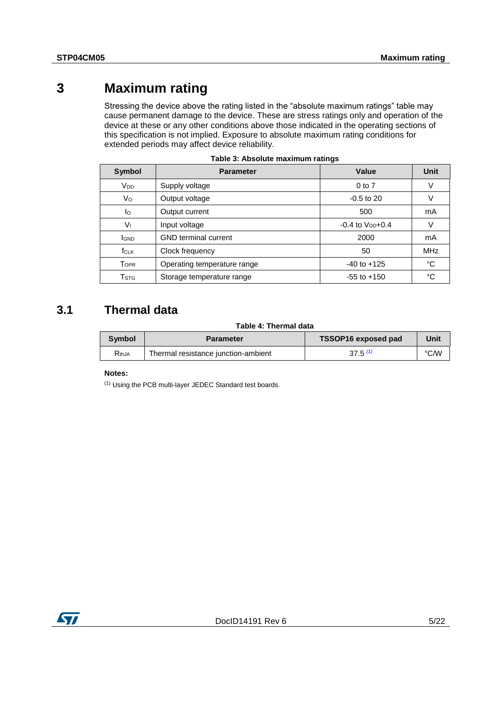# **3 Maximum rating**

<span id="page-4-0"></span>Stressing the device above the rating listed in the "absolute maximum ratings" table may cause permanent damage to the device. These are stress ratings only and operation of the device at these or any other conditions above those indicated in the operating sections of this specification is not implied. Exposure to absolute maximum rating conditions for extended periods may affect device reliability.

| Symbol                    | <b>Parameter</b>            | Value                  | Unit       |
|---------------------------|-----------------------------|------------------------|------------|
| V <sub>DD</sub>           | Supply voltage              | $0$ to $7$             | V          |
| Vo                        | Output voltage              | $-0.5$ to 20           | ν          |
| lo                        | Output current              | 500                    | mA         |
| Vı                        | Input voltage               | $-0.4$ to $V_{DD}+0.4$ | ν          |
| <b>IGND</b>               | <b>GND</b> terminal current | 2000                   | mA         |
| $f_{CLK}$                 | Clock frequency             | 50                     | <b>MHz</b> |
| <b>TOPR</b>               | Operating temperature range | $-40$ to $+125$        | °C         |
| $\mathsf{T}_{\text{STG}}$ | Storage temperature range   | $-55$ to $+150$        | °C         |

|  | Table 3: Absolute maximum ratings |  |
|--|-----------------------------------|--|
|  |                                   |  |

# **3.1 Thermal data**

### **Table 4: Thermal data**

<span id="page-4-1"></span>

| Symbol<br><b>Parameter</b> |                                     | TSSOP16 exposed pad | Jnit |
|----------------------------|-------------------------------------|---------------------|------|
| $R_{thJA}$                 | Thermal resistance junction-ambient | $37.5^{(1)}$        | °C∕W |

### **Notes:**

<span id="page-4-2"></span>(1) Using the PCB multi-layer JEDEC Standard test boards.

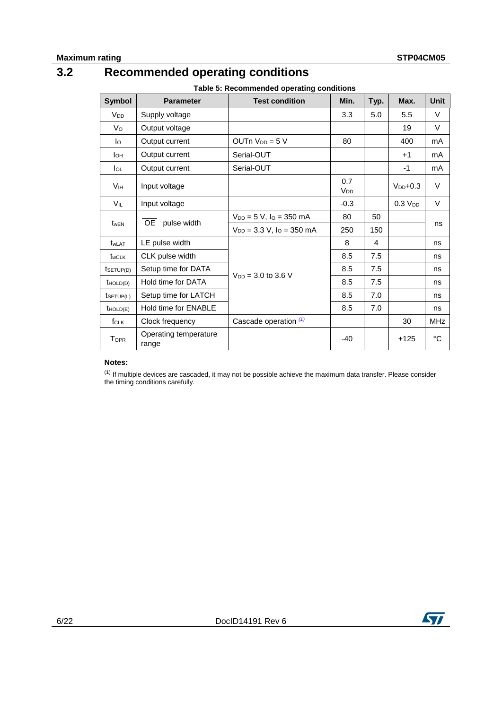# **3.2 Recommended operating conditions**

**Table 5: Recommended operating conditions**

<span id="page-5-0"></span>

| <b>Symbol</b>         | <b>Parameter</b>               | <b>Test condition</b>            | Min.                   | Typ. | Max.                | <b>Unit</b> |
|-----------------------|--------------------------------|----------------------------------|------------------------|------|---------------------|-------------|
| <b>V<sub>DD</sub></b> | Supply voltage                 |                                  | 3.3                    | 5.0  | 5.5                 | $\vee$      |
| V <sub>o</sub>        | Output voltage                 |                                  |                        |      | 19                  | V           |
| Iо                    | Output current                 | $OUTn$ $V_{DD} = 5$ V            | 80                     |      | 400                 | mA          |
| Iон                   | Output current                 | Serial-OUT                       |                        |      | $+1$                | mA          |
| $I_{OL}$              | Output current                 | Serial-OUT                       |                        |      | -1                  | mA          |
| <b>V<sub>IH</sub></b> | Input voltage                  |                                  | 0.7<br>V <sub>DD</sub> |      | $V_{DD}$ +0.3       | $\vee$      |
| VIL                   | Input voltage                  |                                  | $-0.3$                 |      | 0.3 V <sub>DD</sub> | V           |
|                       | OE pulse width                 | $V_{DD} = 5 V$ , $IO = 350 mA$   | 80                     | 50   |                     | ns          |
| $t_{\text{wEN}}$      |                                | $V_{DD} = 3.3 V$ , $IO = 350 mA$ | 250                    | 150  |                     |             |
| t <sub>wLAT</sub>     | LE pulse width                 |                                  | 8                      | 4    |                     | ns          |
| t <sub>wCLK</sub>     | CLK pulse width                |                                  | 8.5                    | 7.5  |                     | ns          |
| tsetup(D)             | Setup time for DATA            | $V_{DD} = 3.0$ to 3.6 V          | 8.5                    | 7.5  |                     | ns          |
| $t$ HOLD(D)           | Hold time for DATA             |                                  | 8.5                    | 7.5  |                     | ns          |
| tsETUP(L)             | Setup time for LATCH           |                                  | 8.5                    | 7.0  |                     | ns          |
| $t$ HOLD(E)           | Hold time for ENABLE           |                                  | 8.5                    | 7.0  |                     | ns          |
| f <sub>CLK</sub>      | Clock frequency                | Cascade operation (1)            |                        |      | 30                  | <b>MHz</b>  |
| <b>TOPR</b>           | Operating temperature<br>range |                                  | $-40$                  |      | $+125$              | °C          |

### **Notes:**

<span id="page-5-1"></span> $<sup>(1)</sup>$  If multiple devices are cascaded, it may not be possible achieve the maximum data transfer. Please consider</sup> the timing conditions carefully.

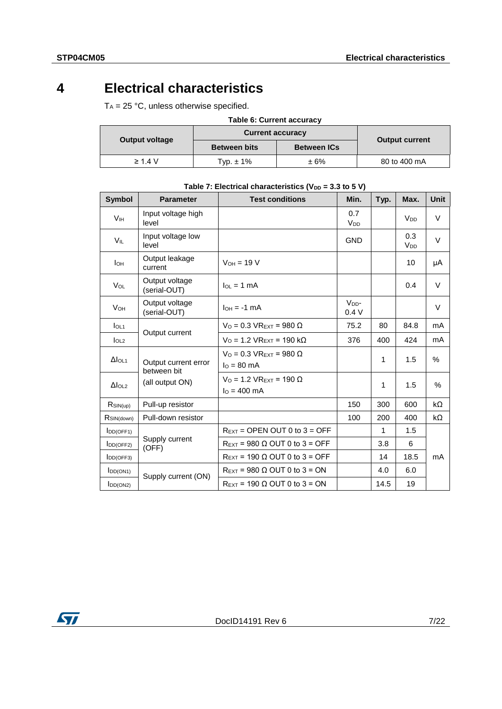# **4 Electrical characteristics**

<span id="page-6-0"></span> $T_A = 25 °C$ , unless otherwise specified.

| <b>Table 6: Current accuracy</b> |                         |                    |                       |  |  |
|----------------------------------|-------------------------|--------------------|-----------------------|--|--|
| <b>Output voltage</b>            | <b>Current accuracy</b> |                    |                       |  |  |
|                                  | <b>Between bits</b>     | <b>Between ICs</b> | <b>Output current</b> |  |  |
| $\geq 1.4$ V                     | Typ. $\pm$ 1%           | ±6%                | 80 to 400 mA          |  |  |

| <b>Symbol</b>             | <b>Parameter</b>                    | <b>Test conditions</b>                                  | Min.                         | Typ. | Max.            | <b>Unit</b> |
|---------------------------|-------------------------------------|---------------------------------------------------------|------------------------------|------|-----------------|-------------|
| <b>V<sub>IH</sub></b>     | Input voltage high<br>level         |                                                         | 0.7<br><b>V<sub>DD</sub></b> |      | V <sub>DD</sub> | V           |
| VIL                       | Input voltage low<br>level          |                                                         | <b>GND</b>                   |      | 0.3<br>$V_{DD}$ | $\vee$      |
| Iон                       | Output leakage<br>current           | $V_{OH} = 19 V$                                         |                              |      | 10              | μA          |
| VOL                       | Output voltage<br>(serial-OUT)      | $I_{OL} = 1$ mA                                         |                              |      | 0.4             | $\vee$      |
| <b>V<sub>OH</sub></b>     | Output voltage<br>(serial-OUT)      | $I_{OH} = -1$ mA                                        | $VDD$ -<br>0.4V              |      |                 | $\vee$      |
| I <sub>OL1</sub>          | Output current                      | $VO = 0.3 VREXT = 980 \Omega$                           | 75.2                         | 80   | 84.8            | mA          |
| $I_{OL2}$                 |                                     | $VO = 1.2 VREXT = 190 kΩ$                               | 376                          | 400  | 424             | mA          |
| $\Delta I_{OL1}$          | Output current error<br>between bit | $VO = 0.3 VREXT = 980 \Omega$<br>$I_0 = 80$ mA          |                              | 1    | 1.5             | $\%$        |
| $\Delta$ lol <sub>2</sub> | (all output ON)                     | $V_0$ = 1.2 VR <sub>EXT</sub> = 190 Ω<br>$I_0 = 400$ mA |                              | 1    | 1.5             | $\%$        |
| $R$ SIN(up)               | Pull-up resistor                    |                                                         | 150                          | 300  | 600             | kΩ          |
| R <sub>SIN(down)</sub>    | Pull-down resistor                  |                                                         | 100                          | 200  | 400             | kΩ          |
| IDD(OFF1)                 |                                     | $R_{\text{EXT}}$ = OPEN OUT 0 to 3 = OFF                |                              | 1    | 1.5             |             |
| IDD(OFF2)                 | Supply current<br>(OFF)             | $R_{\text{EXT}}$ = 980 $\Omega$ OUT 0 to 3 = OFF        |                              | 3.8  | 6               |             |
| $I_{DD(OFF3)}$            |                                     | $R_{\text{EXT}}$ = 190 $\Omega$ OUT 0 to 3 = OFF        |                              | 14   | 18.5            | mA          |
| $I_{DD(ON1)}$             | Supply current (ON)                 | $R_{\text{EXT}}$ = 980 $\Omega$ OUT 0 to 3 = ON         |                              | 4.0  | 6.0             |             |
| IDD(ON2)                  |                                     | $R_{\text{EXT}}$ = 190 $\Omega$ OUT 0 to 3 = ON         |                              | 14.5 | 19              |             |

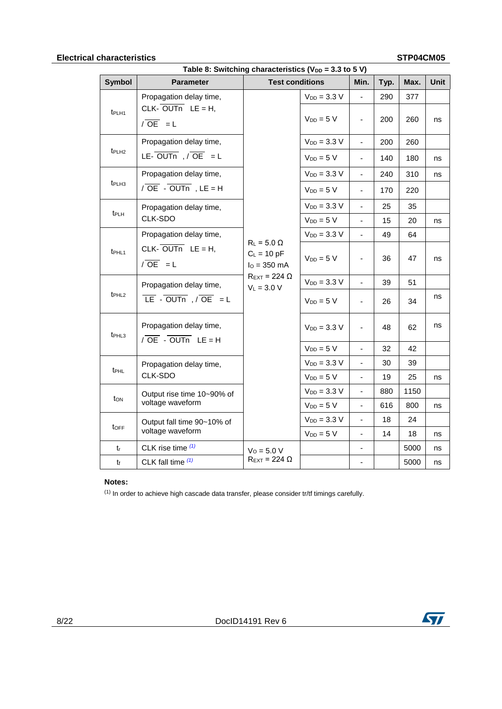# **Electrical characteristics STP04CM05**

| cnaracterístics<br><b>SIPU4UMU5</b><br>Table 8: Switching characteristics ( $V_{DD}$ = 3.3 to 5 V) |                                                      |                                                                                                             |                  |                          |      |      |             |
|----------------------------------------------------------------------------------------------------|------------------------------------------------------|-------------------------------------------------------------------------------------------------------------|------------------|--------------------------|------|------|-------------|
| <b>Symbol</b>                                                                                      | <b>Parameter</b>                                     | <b>Test conditions</b>                                                                                      |                  | Min.                     | Typ. | Max. | <b>Unit</b> |
|                                                                                                    | Propagation delay time,                              |                                                                                                             | $V_{DD} = 3.3 V$ | ä,                       | 290  | 377  |             |
| t <sub>PLH1</sub>                                                                                  | CLK- $\overline{OUTn}$ LE = H,<br>$\sqrt{OE}$ = L    |                                                                                                             | $V_{DD} = 5 V$   | $\frac{1}{2}$            | 200  | 260  | ns          |
|                                                                                                    | Propagation delay time,                              |                                                                                                             | $V_{DD} = 3.3 V$ | $\blacksquare$           | 200  | 260  |             |
| t <sub>PLH2</sub>                                                                                  | LE- $\overline{OUTn}$ , $\overline{OE}$ = L          |                                                                                                             | $V_{DD} = 5 V$   | $\overline{\phantom{a}}$ | 140  | 180  | ns          |
|                                                                                                    | Propagation delay time,                              |                                                                                                             | $V_{DD} = 3.3 V$ | $\blacksquare$           | 240  | 310  | ns          |
| t <sub>PLH3</sub>                                                                                  | $\sqrt{OE}$ - OUTn, LE = H                           |                                                                                                             | $V_{DD} = 5 V$   | $\overline{\phantom{a}}$ | 170  | 220  |             |
|                                                                                                    | Propagation delay time,                              |                                                                                                             | $V_{DD} = 3.3 V$ | $\overline{\phantom{a}}$ | 25   | 35   |             |
| t <sub>PLH</sub>                                                                                   | CLK-SDO                                              |                                                                                                             | $V_{DD} = 5 V$   | ä,                       | 15   | 20   | ns          |
|                                                                                                    | Propagation delay time,                              |                                                                                                             | $V_{DD} = 3.3 V$ | $\blacksquare$           | 49   | 64   |             |
| t <sub>PHL1</sub>                                                                                  | CLK- $\overline{OUTn}$ LE = H,<br>$\sqrt{OE}$ = L    | $R_L$ = 5.0 $\Omega$<br>$C_L = 10 pF$<br>$I_0 = 350$ mA<br>$R_{\text{EXT}}$ = 224 $\Omega$<br>$V_L = 3.0 V$ | $V_{DD} = 5 V$   | $\overline{\phantom{a}}$ | 36   | 47   | ns          |
|                                                                                                    | Propagation delay time,                              |                                                                                                             | $V_{DD} = 3.3 V$ | $\overline{a}$           | 39   | 51   |             |
| t <sub>PHL2</sub>                                                                                  | $LE - OUTn$ , $OE = L$                               |                                                                                                             | $V_{DD} = 5 V$   | ÷,                       | 26   | 34   | ns          |
| t <sub>PHL3</sub>                                                                                  | Propagation delay time,<br>$\sqrt{OE}$ - OUTn LE = H |                                                                                                             | $V_{DD} = 3.3 V$ | $\overline{\phantom{a}}$ | 48   | 62   | ns          |
|                                                                                                    |                                                      |                                                                                                             | $V_{DD} = 5 V$   |                          | 32   | 42   |             |
| t <sub>PHL</sub>                                                                                   | Propagation delay time,                              |                                                                                                             | $V_{DD} = 3.3 V$ | ÷,                       | 30   | 39   |             |
|                                                                                                    | CLK-SDO                                              |                                                                                                             | $V_{DD} = 5 V$   | $\frac{1}{2}$            | 19   | 25   | ns          |
| ton                                                                                                | Output rise time 10~90% of                           |                                                                                                             | $V_{DD} = 3.3 V$ | ÷,                       | 880  | 1150 |             |
|                                                                                                    | voltage waveform                                     |                                                                                                             | $V_{DD} = 5 V$   | $\overline{\phantom{a}}$ | 616  | 800  | ns          |
| toff                                                                                               | Output fall time 90~10% of                           |                                                                                                             | $V_{DD} = 3.3 V$ | $\blacksquare$           | 18   | 24   |             |
|                                                                                                    | voltage waveform                                     |                                                                                                             | $V_{DD} = 5 V$   | ÷,                       | 14   | 18   | ns          |
| $t_{r}$                                                                                            | CLK rise time $(1)$                                  | $V_0 = 5.0 V$                                                                                               |                  | ۰                        |      | 5000 | ns          |
| t                                                                                                  | CLK fall time $(1)$                                  | $R_{\text{EXT}}$ = 224 $\Omega$                                                                             |                  | $\overline{\phantom{a}}$ |      | 5000 | ns          |

### **Notes:**

<span id="page-7-0"></span> $(1)$  In order to achieve high cascade data transfer, please consider tr/tf timings carefully.

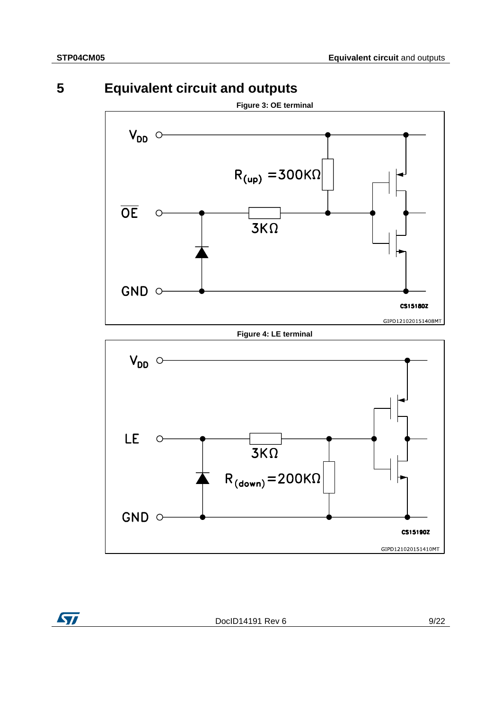ST



<span id="page-8-0"></span>

### **Figure 4: LE terminal**



DocID14191 Rev 6 9/22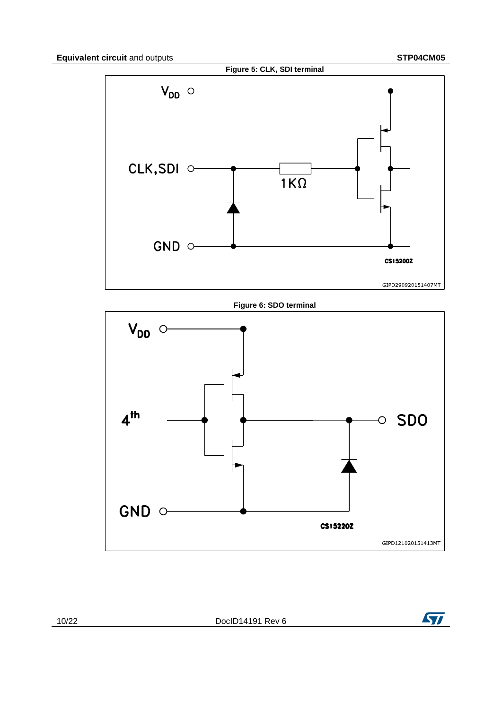<span id="page-9-0"></span>

**Figure 6: SDO terminal**



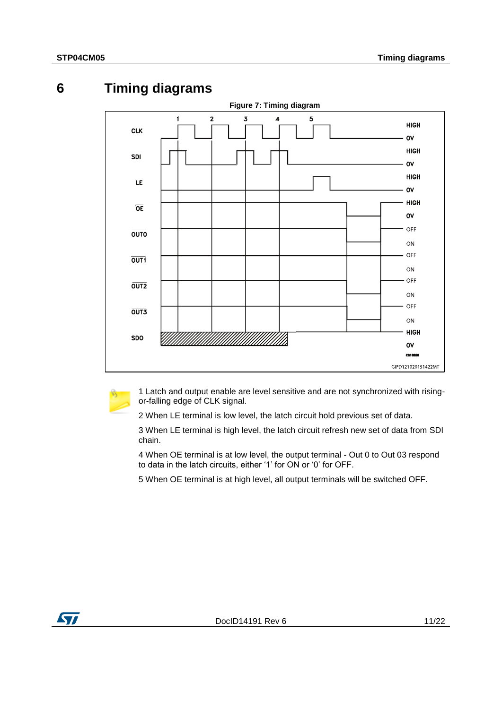<span id="page-10-0"></span>

# **6 Timing diagrams**



1 Latch and output enable are level sensitive and are not synchronized with risingor-falling edge of CLK signal.

2 When LE terminal is low level, the latch circuit hold previous set of data.

3 When LE terminal is high level, the latch circuit refresh new set of data from SDI chain.

4 When OE terminal is at low level, the output terminal - Out 0 to Out 03 respond to data in the latch circuits, either '1' for ON or '0' for OFF.

5 When OE terminal is at high level, all output terminals will be switched OFF.

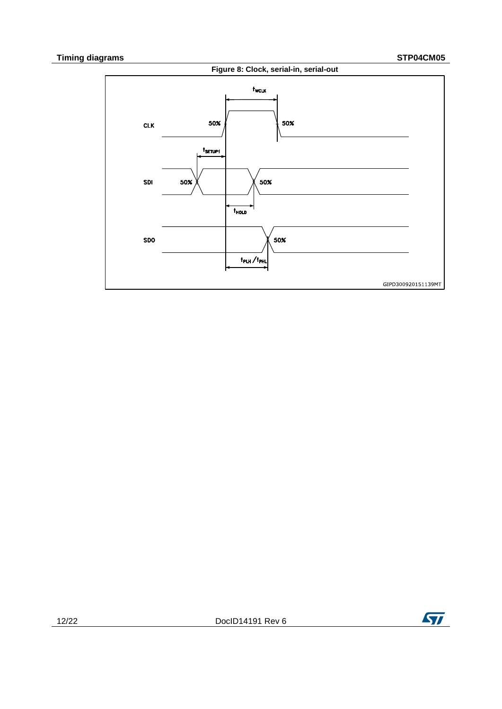

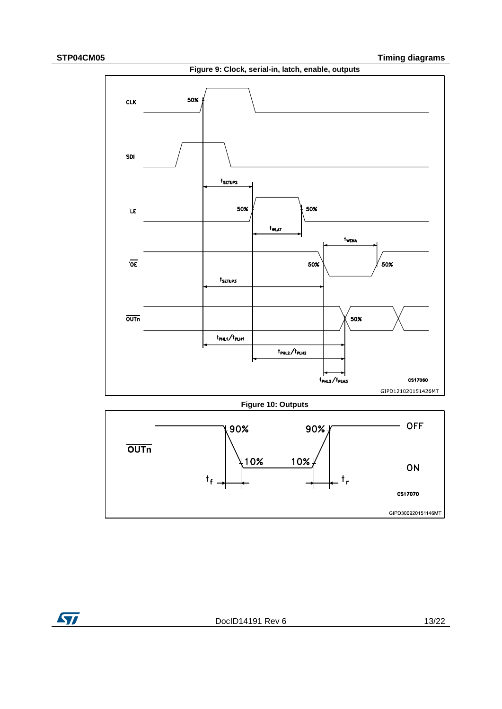ST



**Figure 10: Outputs**



DocID14191 Rev 6 13/22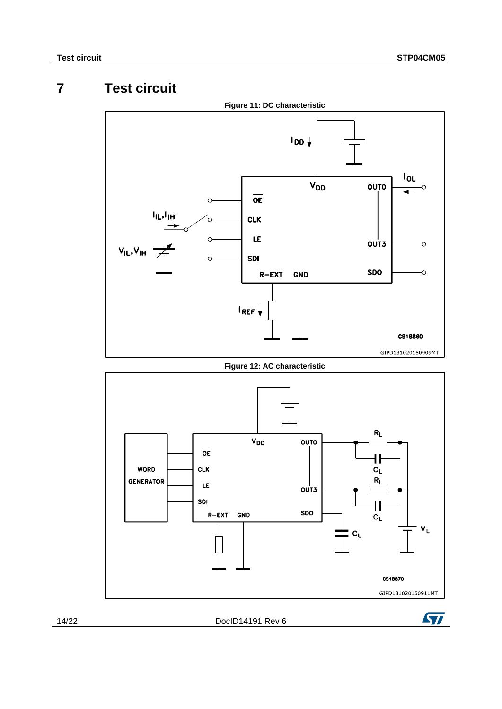# **7 Test circuit**

<span id="page-13-0"></span>

**Figure 12: AC characteristic**





14/22 DocID14191 Rev 6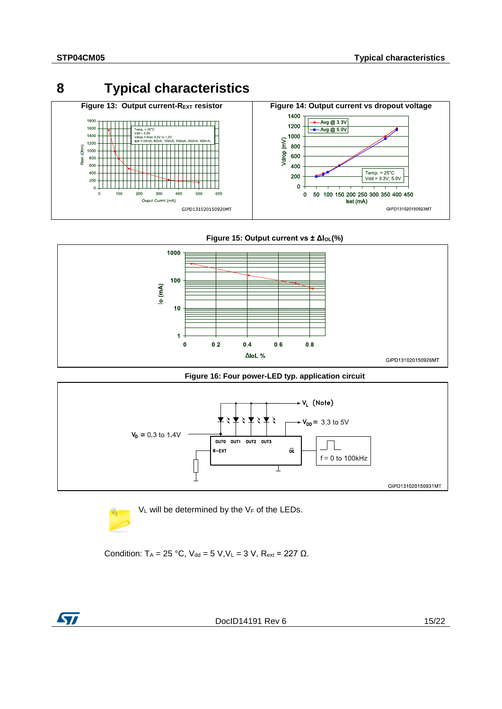<span id="page-14-0"></span>





**Figure 16: Four power-LED typ. application circuit**





Condition:  $T_A = 25 °C$ ,  $V_{dd} = 5 V$ ,  $V_L = 3 V$ ,  $R_{ext} = 227 \Omega$ .



DocID14191 Rev 6 15/22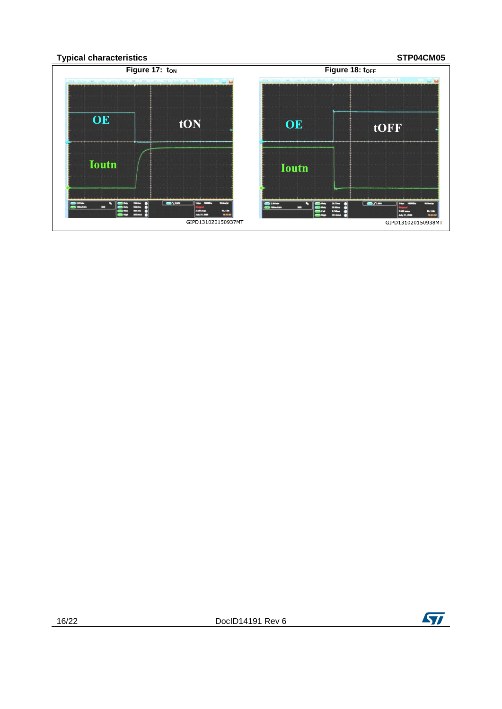

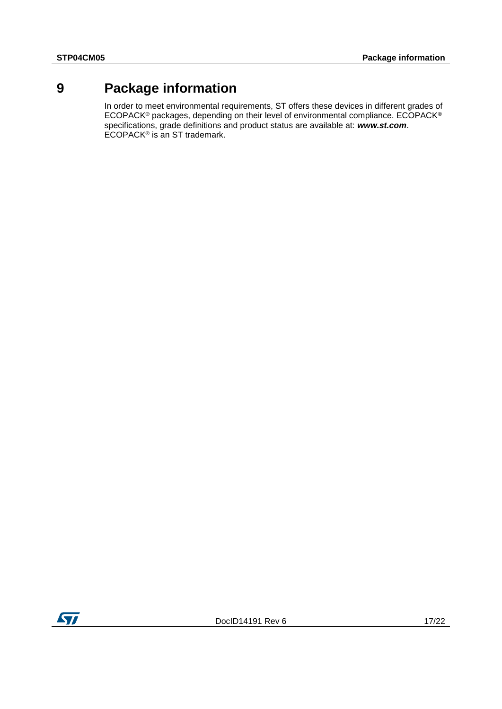# **9 Package information**

<span id="page-16-0"></span>In order to meet environmental requirements, ST offers these devices in different grades of ECOPACK® packages, depending on their level of environmental compliance. ECOPACK® specifications, grade definitions and product status are available at: *www.st.com*. ECOPACK<sup>®</sup> is an ST trademark.

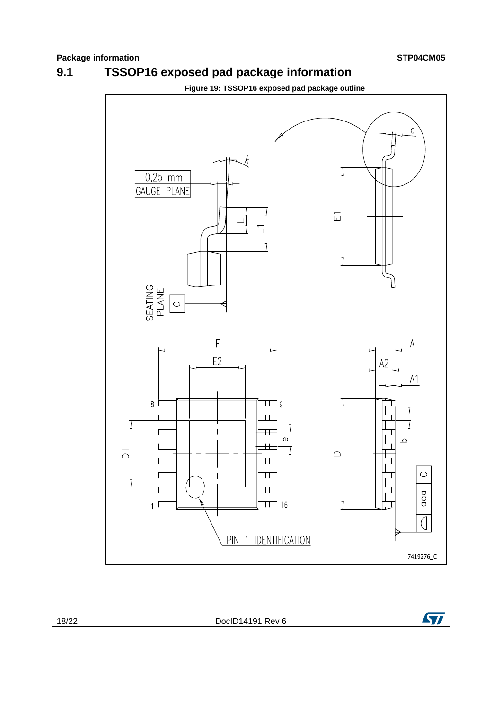**9.1 TSSOP16 exposed pad package information**



<span id="page-17-0"></span>

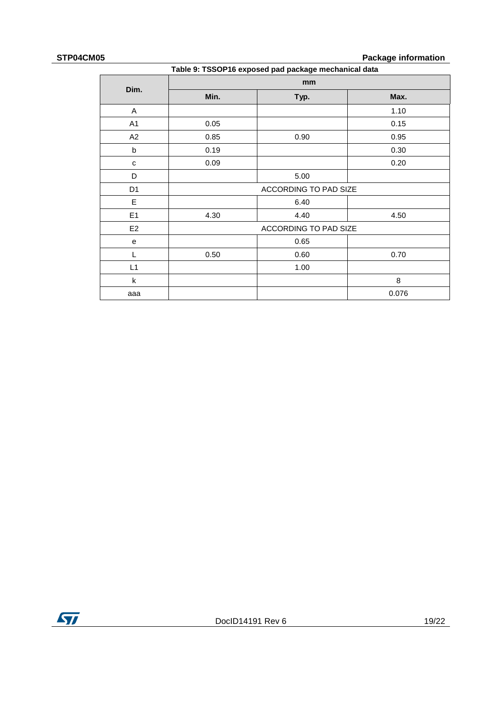### **STP04CM05 Package information**

| Table 9: TSSOP16 exposed pad package mechanical data |      |                       |       |  |  |
|------------------------------------------------------|------|-----------------------|-------|--|--|
| Dim.                                                 |      | mm                    |       |  |  |
|                                                      | Min. | Typ.                  | Max.  |  |  |
| A                                                    |      |                       | 1.10  |  |  |
| A1                                                   | 0.05 |                       | 0.15  |  |  |
| A2                                                   | 0.85 | 0.90                  | 0.95  |  |  |
| b                                                    | 0.19 |                       | 0.30  |  |  |
| C                                                    | 0.09 |                       | 0.20  |  |  |
| D                                                    |      | 5.00                  |       |  |  |
| D <sub>1</sub>                                       |      | ACCORDING TO PAD SIZE |       |  |  |
| E                                                    |      | 6.40                  |       |  |  |
| E1                                                   | 4.30 | 4.40                  | 4.50  |  |  |
| E <sub>2</sub>                                       |      | ACCORDING TO PAD SIZE |       |  |  |
| e                                                    |      | 0.65                  |       |  |  |
| L                                                    | 0.50 | 0.60                  | 0.70  |  |  |
| L1                                                   |      | 1.00                  |       |  |  |
| $\mathsf k$                                          |      |                       | 8     |  |  |
| aaa                                                  |      |                       | 0.076 |  |  |

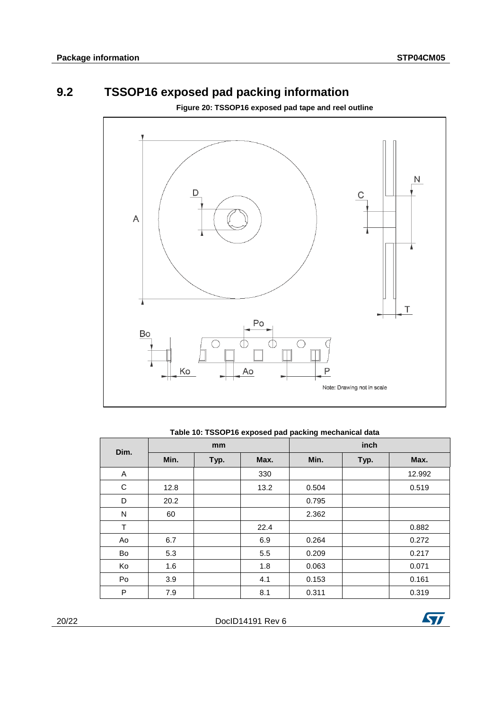# **9.2 TSSOP16 exposed pad packing information**

**Figure 20: TSSOP16 exposed pad tape and reel outline**

<span id="page-19-0"></span>

### **Table 10: TSSOP16 exposed pad packing mechanical data**

| Dim. | mm   |      |      | inch  |      |        |
|------|------|------|------|-------|------|--------|
|      | Min. | Typ. | Max. | Min.  | Typ. | Max.   |
| A    |      |      | 330  |       |      | 12.992 |
| C    | 12.8 |      | 13.2 | 0.504 |      | 0.519  |
| D    | 20.2 |      |      | 0.795 |      |        |
| N    | 60   |      |      | 2.362 |      |        |
| T    |      |      | 22.4 |       |      | 0.882  |
| Ao   | 6.7  |      | 6.9  | 0.264 |      | 0.272  |
| Bo   | 5.3  |      | 5.5  | 0.209 |      | 0.217  |
| Ko   | 1.6  |      | 1.8  | 0.063 |      | 0.071  |
| Po   | 3.9  |      | 4.1  | 0.153 |      | 0.161  |
| P    | 7.9  |      | 8.1  | 0.311 |      | 0.319  |

20/22 DocID14191 Rev 6

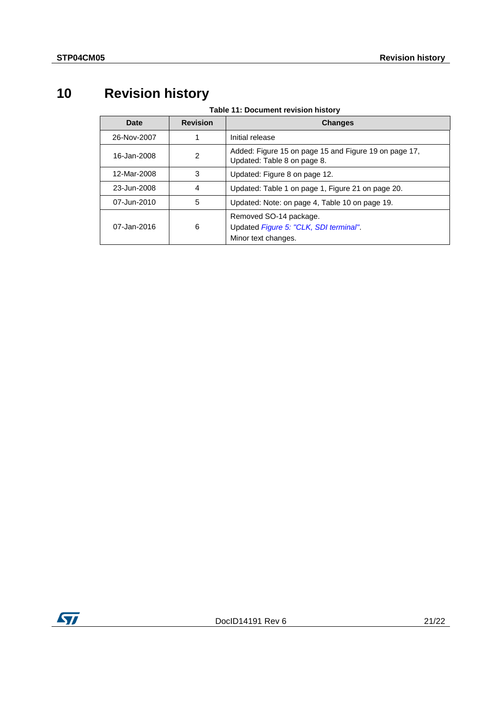# <span id="page-20-0"></span>**10 Revision history**

**Table 11: Document revision history**

| Date        | <b>Revision</b> | <b>Changes</b>                                                                          |
|-------------|-----------------|-----------------------------------------------------------------------------------------|
| 26-Nov-2007 |                 | Initial release                                                                         |
| 16-Jan-2008 | $\mathcal{P}$   | Added: Figure 15 on page 15 and Figure 19 on page 17,<br>Updated: Table 8 on page 8.    |
| 12-Mar-2008 | 3               | Updated: Figure 8 on page 12.                                                           |
| 23-Jun-2008 | 4               | Updated: Table 1 on page 1, Figure 21 on page 20.                                       |
| 07-Jun-2010 | 5               | Updated: Note: on page 4, Table 10 on page 19.                                          |
| 07-Jan-2016 | 6               | Removed SO-14 package.<br>Updated Figure 5: "CLK, SDI terminal".<br>Minor text changes. |